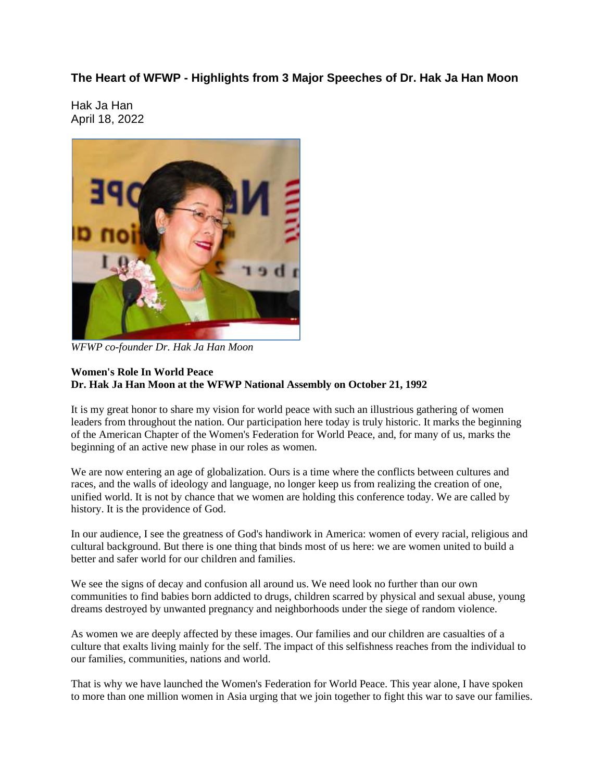#### **The Heart of WFWP - Highlights from 3 Major Speeches of Dr. Hak Ja Han Moon**

Hak Ja Han April 18, 2022



*WFWP co-founder Dr. Hak Ja Han Moon*

#### **Women's Role In World Peace Dr. Hak Ja Han Moon at the WFWP National Assembly on October 21, 1992**

It is my great honor to share my vision for world peace with such an illustrious gathering of women leaders from throughout the nation. Our participation here today is truly historic. It marks the beginning of the American Chapter of the Women's Federation for World Peace, and, for many of us, marks the beginning of an active new phase in our roles as women.

We are now entering an age of globalization. Ours is a time where the conflicts between cultures and races, and the walls of ideology and language, no longer keep us from realizing the creation of one, unified world. It is not by chance that we women are holding this conference today. We are called by history. It is the providence of God.

In our audience, I see the greatness of God's handiwork in America: women of every racial, religious and cultural background. But there is one thing that binds most of us here: we are women united to build a better and safer world for our children and families.

We see the signs of decay and confusion all around us. We need look no further than our own communities to find babies born addicted to drugs, children scarred by physical and sexual abuse, young dreams destroyed by unwanted pregnancy and neighborhoods under the siege of random violence.

As women we are deeply affected by these images. Our families and our children are casualties of a culture that exalts living mainly for the self. The impact of this selfishness reaches from the individual to our families, communities, nations and world.

That is why we have launched the Women's Federation for World Peace. This year alone, I have spoken to more than one million women in Asia urging that we join together to fight this war to save our families.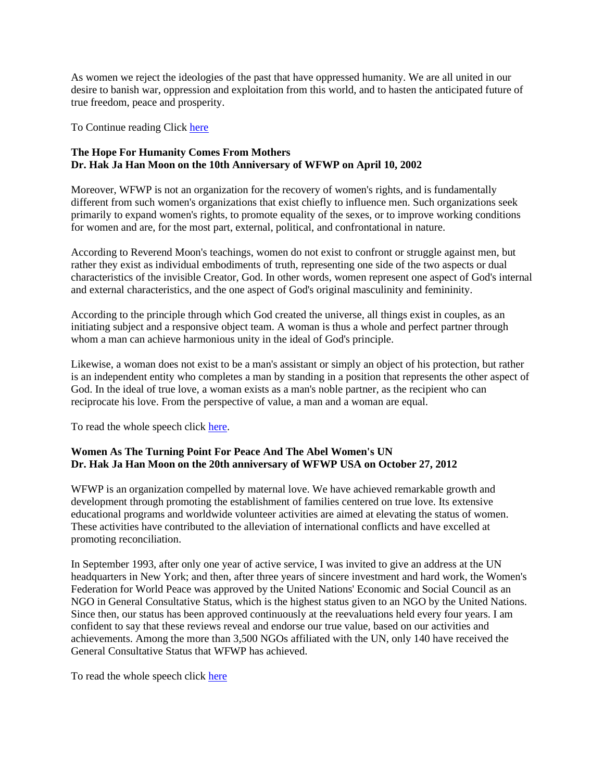As women we reject the ideologies of the past that have oppressed humanity. We are all united in our desire to banish war, oppression and exploitation from this world, and to hasten the anticipated future of true freedom, peace and prosperity.

To Continue reading Click here

#### **The Hope For Humanity Comes From Mothers Dr. Hak Ja Han Moon on the 10th Anniversary of WFWP on April 10, 2002**

Moreover, WFWP is not an organization for the recovery of women's rights, and is fundamentally different from such women's organizations that exist chiefly to influence men. Such organizations seek primarily to expand women's rights, to promote equality of the sexes, or to improve working conditions for women and are, for the most part, external, political, and confrontational in nature.

According to Reverend Moon's teachings, women do not exist to confront or struggle against men, but rather they exist as individual embodiments of truth, representing one side of the two aspects or dual characteristics of the invisible Creator, God. In other words, women represent one aspect of God's internal and external characteristics, and the one aspect of God's original masculinity and femininity.

According to the principle through which God created the universe, all things exist in couples, as an initiating subject and a responsive object team. A woman is thus a whole and perfect partner through whom a man can achieve harmonious unity in the ideal of God's principle.

Likewise, a woman does not exist to be a man's assistant or simply an object of his protection, but rather is an independent entity who completes a man by standing in a position that represents the other aspect of God. In the ideal of true love, a woman exists as a man's noble partner, as the recipient who can reciprocate his love. From the perspective of value, a man and a woman are equal.

To read the whole speech click here.

#### **Women As The Turning Point For Peace And The Abel Women's UN Dr. Hak Ja Han Moon on the 20th anniversary of WFWP USA on October 27, 2012**

WFWP is an organization compelled by maternal love. We have achieved remarkable growth and development through promoting the establishment of families centered on true love. Its extensive educational programs and worldwide volunteer activities are aimed at elevating the status of women. These activities have contributed to the alleviation of international conflicts and have excelled at promoting reconciliation.

In September 1993, after only one year of active service, I was invited to give an address at the UN headquarters in New York; and then, after three years of sincere investment and hard work, the Women's Federation for World Peace was approved by the United Nations' Economic and Social Council as an NGO in General Consultative Status, which is the highest status given to an NGO by the United Nations. Since then, our status has been approved continuously at the reevaluations held every four years. I am confident to say that these reviews reveal and endorse our true value, based on our activities and achievements. Among the more than 3,500 NGOs affiliated with the UN, only 140 have received the General Consultative Status that WFWP has achieved.

To read the whole speech click here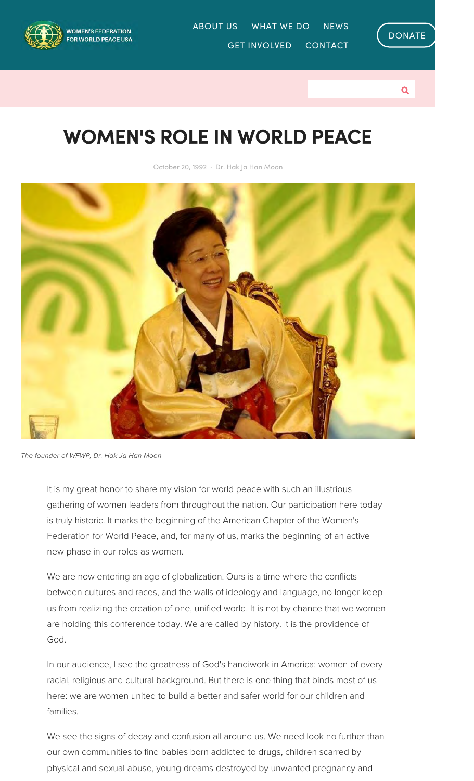

GET INVOLVED CONTACT ABOUT US WHAT WE DO NEWS





## WOMEN'S ROLE IN WORLD PEACE

October 20, 1992 · Dr. Hak Ja Han Moon



*The founder of WFWP, Dr. Hak Ja Han Moon*

It is my great honor to share my vision for world peace with such an illustrious gathering of women leaders from throughout the nation. Our participation here today is truly historic. It marks the beginning of the American Chapter of the Women's Federation for World Peace, and, for many of us, marks the beginning of an active new phase in our roles as women.

We are now entering an age of globalization. Ours is a time where the conflicts between cultures and races, and the walls of ideology and language, no longer keep us from realizing the creation of one, unified world. It is not by chance that we women are holding this conference today. We are called by history. It is the providence of God.

In our audience, I see the greatness of God's handiwork in America: women of every racial, religious and cultural background. But there is one thing that binds most of us here: we are women united to build a better and safer world for our children and families.

We see the signs of decay and confusion all around us. We need look no further than our own communities to find babies born addicted to drugs, children scarred by physical and sexual abuse, young dreams destroyed by unwanted pregnancy and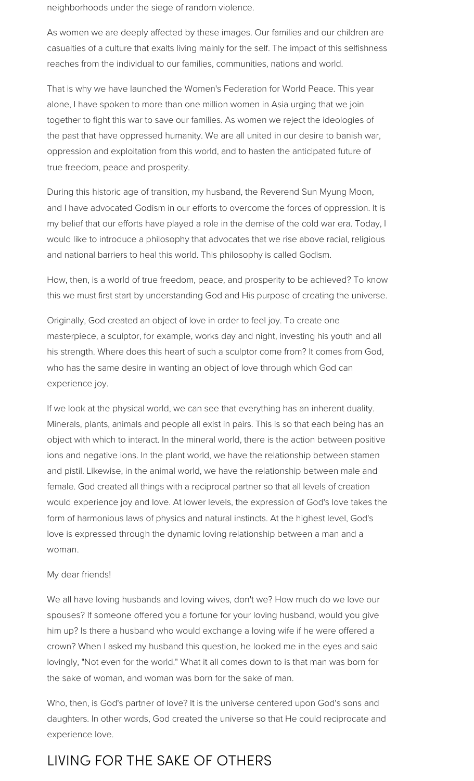neighborhoods under the siege of random violence.

As women we are deeply affected by these images. Our families and our children are casualties of a culture that exalts living mainly for the self. The impact of this selfishness reaches from the individual to our families, communities, nations and world.

That is why we have launched the Women's Federation for World Peace. This year alone, I have spoken to more than one million women in Asia urging that we join together to fight this war to save our families. As women we reject the ideologies of the past that have oppressed humanity. We are all united in our desire to banish war, oppression and exploitation from this world, and to hasten the anticipated future of true freedom, peace and prosperity.

During this historic age of transition, my husband, the Reverend Sun Myung Moon, and I have advocated Godism in our efforts to overcome the forces of oppression. It is my belief that our efforts have played a role in the demise of the cold war era. Today, I would like to introduce a philosophy that advocates that we rise above racial, religious and national barriers to heal this world. This philosophy is called Godism.

How, then, is a world of true freedom, peace, and prosperity to be achieved? To know this we must first start by understanding God and His purpose of creating the universe.

Originally, God created an object of love in order to feel joy. To create one masterpiece, a sculptor, for example, works day and night, investing his youth and all his strength. Where does this heart of such a sculptor come from? It comes from God, who has the same desire in wanting an object of love through which God can experience joy.

If we look at the physical world, we can see that everything has an inherent duality. Minerals, plants, animals and people all exist in pairs. This is so that each being has an object with which to interact. In the mineral world, there is the action between positive ions and negative ions. In the plant world, we have the relationship between stamen and pistil. Likewise, in the animal world, we have the relationship between male and female. God created all things with a reciprocal partner so that all levels of creation would experience joy and love. At lower levels, the expression of God's love takes the form of harmonious laws of physics and natural instincts. At the highest level, God's love is expressed through the dynamic loving relationship between a man and a woman.

#### My dear friends!

We all have loving husbands and loving wives, don't we? How much do we love our spouses? If someone offered you a fortune for your loving husband, would you give him up? Is there a husband who would exchange a loving wife if he were offered a crown? When I asked my husband this question, he looked me in the eyes and said lovingly, "Not even for the world." What it all comes down to is that man was born for the sake of woman, and woman was born for the sake of man.

Who, then, is God's partner of love? It is the universe centered upon God's sons and daughters. In other words, God created the universe so that He could reciprocate and experience love.

### LIVING FOR THE SAKE OF OTHERS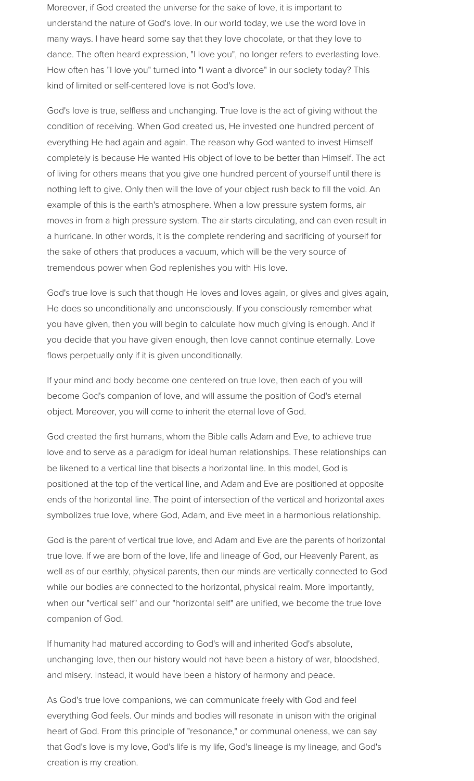Moreover, if God created the universe for the sake of love, it is important to understand the nature of God's love. In our world today, we use the word love in many ways. I have heard some say that they love chocolate, or that they love to dance. The often heard expression, "I love you", no longer refers to everlasting love. How often has "I love you" turned into "I want a divorce" in our society today? This kind of limited or self-centered love is not God's love.

God's love is true, selfless and unchanging. True love is the act of giving without the condition of receiving. When God created us, He invested one hundred percent of everything He had again and again. The reason why God wanted to invest Himself completely is because He wanted His object of love to be better than Himself. The act of living for others means that you give one hundred percent of yourself until there is nothing left to give. Only then will the love of your object rush back to fill the void. An example of this is the earth's atmosphere. When a low pressure system forms, air moves in from a high pressure system. The air starts circulating, and can even result in a hurricane. In other words, it is the complete rendering and sacrificing of yourself for the sake of others that produces a vacuum, which will be the very source of tremendous power when God replenishes you with His love.

God's true love is such that though He loves and loves again, or gives and gives again, He does so unconditionally and unconsciously. If you consciously remember what you have given, then you will begin to calculate how much giving is enough. And if you decide that you have given enough, then love cannot continue eternally. Love flows perpetually only if it is given unconditionally.

If your mind and body become one centered on true love, then each of you will become God's companion of love, and will assume the position of God's eternal object. Moreover, you will come to inherit the eternal love of God.

God created the first humans, whom the Bible calls Adam and Eve, to achieve true love and to serve as a paradigm for ideal human relationships. These relationships can be likened to a vertical line that bisects a horizontal line. In this model, God is positioned at the top of the vertical line, and Adam and Eve are positioned at opposite ends of the horizontal line. The point of intersection of the vertical and horizontal axes symbolizes true love, where God, Adam, and Eve meet in a harmonious relationship.

God is the parent of vertical true love, and Adam and Eve are the parents of horizontal true love. If we are born of the love, life and lineage of God, our Heavenly Parent, as well as of our earthly, physical parents, then our minds are vertically connected to God while our bodies are connected to the horizontal, physical realm. More importantly, when our "vertical self" and our "horizontal self" are unified, we become the true love companion of God.

If humanity had matured according to God's will and inherited God's absolute, unchanging love, then our history would not have been a history of war, bloodshed, and misery. Instead, it would have been a history of harmony and peace.

As God's true love companions, we can communicate freely with God and feel everything God feels. Our minds and bodies will resonate in unison with the original heart of God. From this principle of "resonance," or communal oneness, we can say that God's love is my love, God's life is my life, God's lineage is my lineage, and God's creation is my creation.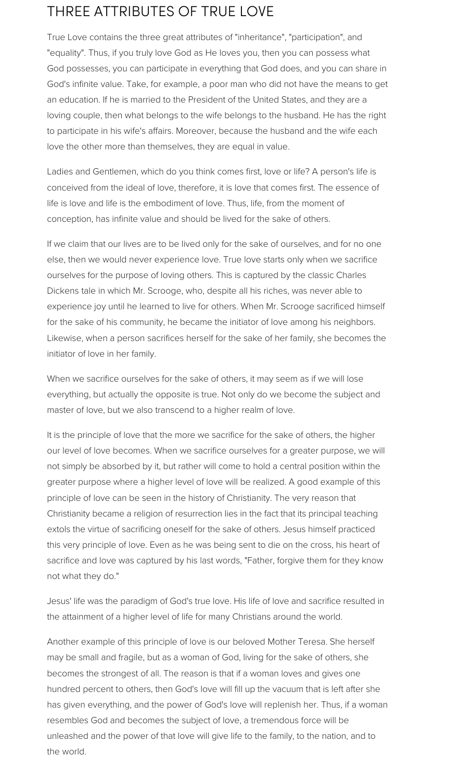## THREE ATTRIBUTES OF TRUE LOVE

True Love contains the three great attributes of "inheritance", "participation", and "equality". Thus, if you truly love God as He loves you, then you can possess what God possesses, you can participate in everything that God does, and you can share in God's infinite value. Take, for example, a poor man who did not have the means to get an education. If he is married to the President of the United States, and they are a loving couple, then what belongs to the wife belongs to the husband. He has the right to participate in his wife's affairs. Moreover, because the husband and the wife each love the other more than themselves, they are equal in value.

Ladies and Gentlemen, which do you think comes first, love or life? A person's life is conceived from the ideal of love, therefore, it is love that comes first. The essence of life is love and life is the embodiment of love. Thus, life, from the moment of conception, has infinite value and should be lived for the sake of others.

If we claim that our lives are to be lived only for the sake of ourselves, and for no one else, then we would never experience love. True love starts only when we sacrifice ourselves for the purpose of loving others. This is captured by the classic Charles Dickens tale in which Mr. Scrooge, who, despite all his riches, was never able to experience joy until he learned to live for others. When Mr. Scrooge sacrificed himself for the sake of his community, he became the initiator of love among his neighbors. Likewise, when a person sacrifices herself for the sake of her family, she becomes the initiator of love in her family.

When we sacrifice ourselves for the sake of others, it may seem as if we will lose everything, but actually the opposite is true. Not only do we become the subject and master of love, but we also transcend to a higher realm of love.

It is the principle of love that the more we sacrifice for the sake of others, the higher our level of love becomes. When we sacrifice ourselves for a greater purpose, we will not simply be absorbed by it, but rather will come to hold a central position within the greater purpose where a higher level of love will be realized. A good example of this principle of love can be seen in the history of Christianity. The very reason that Christianity became a religion of resurrection lies in the fact that its principal teaching extols the virtue of sacrificing oneself for the sake of others. Jesus himself practiced this very principle of love. Even as he was being sent to die on the cross, his heart of sacrifice and love was captured by his last words, "Father, forgive them for they know not what they do."

Jesus' life was the paradigm of God's true love. His life of love and sacrifice resulted in the attainment of a higher level of life for many Christians around the world.

Another example of this principle of love is our beloved Mother Teresa. She herself may be small and fragile, but as a woman of God, living for the sake of others, she becomes the strongest of all. The reason is that if a woman loves and gives one hundred percent to others, then God's love will fill up the vacuum that is left after she has given everything, and the power of God's love will replenish her. Thus, if a woman resembles God and becomes the subject of love, a tremendous force will be unleashed and the power of that love will give life to the family, to the nation, and to the world.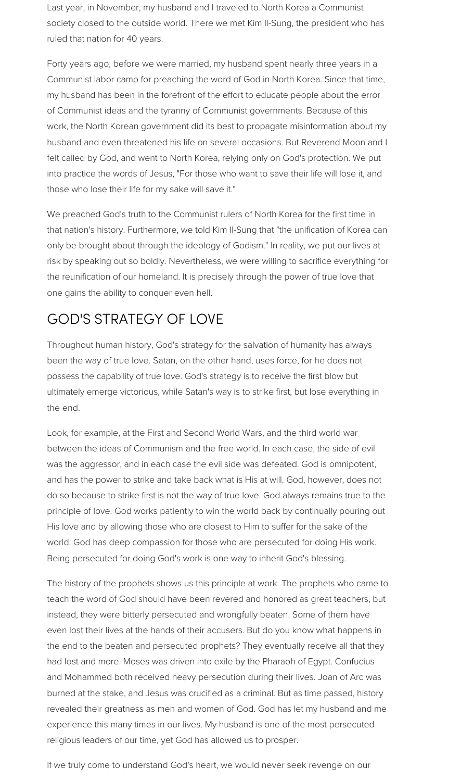Last year, in November, my husband and I traveled to North Korea a Communist society closed to the outside world. There we met Kim Il-Sung, the president who has ruled that nation for 40 years.

Forty years ago, before we were married, my husband spent nearly three years in a Communist labor camp for preaching the word of God in North Korea. Since that time, my husband has been in the forefront of the effort to educate people about the error of Communist ideas and the tyranny of Communist governments. Because of this work, the North Korean government did its best to propagate misinformation about my husband and even threatened his life on several occasions. But Reverend Moon and I felt called by God, and went to North Korea, relying only on God's protection. We put into practice the words of Jesus, "For those who want to save their life will lose it, and those who lose their life for my sake will save it."

We preached God's truth to the Communist rulers of North Korea for the first time in that nation's history. Furthermore, we told Kim Il-Sung that "the unification of Korea can only be brought about through the ideology of Godism." In reality, we put our lives at risk by speaking out so boldly. Nevertheless, we were willing to sacrifice everything for the reunification of our homeland. It is precisely through the power of true love that one gains the ability to conquer even hell.

## GOD'S STRATEGY OF LOVE

Throughout human history, God's strategy for the salvation of humanity has always been the way of true love. Satan, on the other hand, uses force, for he does not possess the capability of true love. God's strategy is to receive the first blow but ultimately emerge victorious, while Satan's way is to strike first, but lose everything in the end.

Look, for example, at the First and Second World Wars, and the third world war between the ideas of Communism and the free world. In each case, the side of evil was the aggressor, and in each case the evil side was defeated. God is omnipotent, and has the power to strike and take back what is His at will. God, however, does not do so because to strike first is not the way of true love. God always remains true to the principle of love. God works patiently to win the world back by continually pouring out His love and by allowing those who are closest to Him to suffer for the sake of the world. God has deep compassion for those who are persecuted for doing His work. Being persecuted for doing God's work is one way to inherit God's blessing.

The history of the prophets shows us this principle at work. The prophets who came to teach the word of God should have been revered and honored as great teachers, but instead, they were bitterly persecuted and wrongfully beaten. Some of them have even lost their lives at the hands of their accusers. But do you know what happens in the end to the beaten and persecuted prophets? They eventually receive all that they had lost and more. Moses was driven into exile by the Pharaoh of Egypt. Confucius and Mohammed both received heavy persecution during their lives. Joan of Arc was burned at the stake, and Jesus was crucified as a criminal. But as time passed, history revealed their greatness as men and women of God. God has let my husband and me experience this many times in our lives. My husband is one of the most persecuted religious leaders of our time, yet God has allowed us to prosper.

If we truly come to understand God's heart, we would never seek revenge on our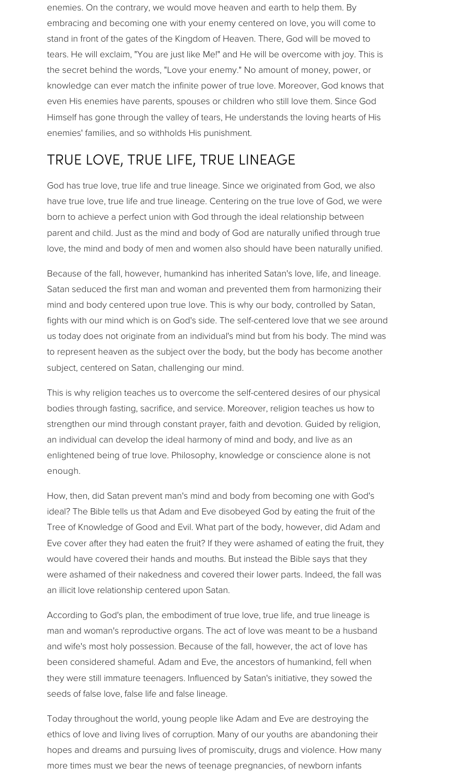enemies. On the contrary, we would move heaven and earth to help them. By embracing and becoming one with your enemy centered on love, you will come to stand in front of the gates of the Kingdom of Heaven. There, God will be moved to tears. He will exclaim, "You are just like Me!" and He will be overcome with joy. This is the secret behind the words, "Love your enemy." No amount of money, power, or knowledge can ever match the infinite power of true love. Moreover, God knows that even His enemies have parents, spouses or children who still love them. Since God Himself has gone through the valley of tears, He understands the loving hearts of His enemies' families, and so withholds His punishment.

## TRUE LOVE, TRUE LIFE, TRUE LINEAGE

God has true love, true life and true lineage. Since we originated from God, we also have true love, true life and true lineage. Centering on the true love of God, we were born to achieve a perfect union with God through the ideal relationship between parent and child. Just as the mind and body of God are naturally unified through true love, the mind and body of men and women also should have been naturally unified.

Because of the fall, however, humankind has inherited Satan's love, life, and lineage. Satan seduced the first man and woman and prevented them from harmonizing their mind and body centered upon true love. This is why our body, controlled by Satan, fights with our mind which is on God's side. The self-centered love that we see around us today does not originate from an individual's mind but from his body. The mind was to represent heaven as the subject over the body, but the body has become another subject, centered on Satan, challenging our mind.

This is why religion teaches us to overcome the self-centered desires of our physical bodies through fasting, sacrifice, and service. Moreover, religion teaches us how to strengthen our mind through constant prayer, faith and devotion. Guided by religion, an individual can develop the ideal harmony of mind and body, and live as an enlightened being of true love. Philosophy, knowledge or conscience alone is not enough.

How, then, did Satan prevent man's mind and body from becoming one with God's ideal? The Bible tells us that Adam and Eve disobeyed God by eating the fruit of the Tree of Knowledge of Good and Evil. What part of the body, however, did Adam and Eve cover after they had eaten the fruit? If they were ashamed of eating the fruit, they would have covered their hands and mouths. But instead the Bible says that they were ashamed of their nakedness and covered their lower parts. Indeed, the fall was an illicit love relationship centered upon Satan.

According to God's plan, the embodiment of true love, true life, and true lineage is man and woman's reproductive organs. The act of love was meant to be a husband and wife's most holy possession. Because of the fall, however, the act of love has been considered shameful. Adam and Eve, the ancestors of humankind, fell when they were still immature teenagers. Influenced by Satan's initiative, they sowed the seeds of false love, false life and false lineage.

Today throughout the world, young people like Adam and Eve are destroying the ethics of love and living lives of corruption. Many of our youths are abandoning their hopes and dreams and pursuing lives of promiscuity, drugs and violence. How many more times must we bear the news of teenage pregnancies, of newborn infants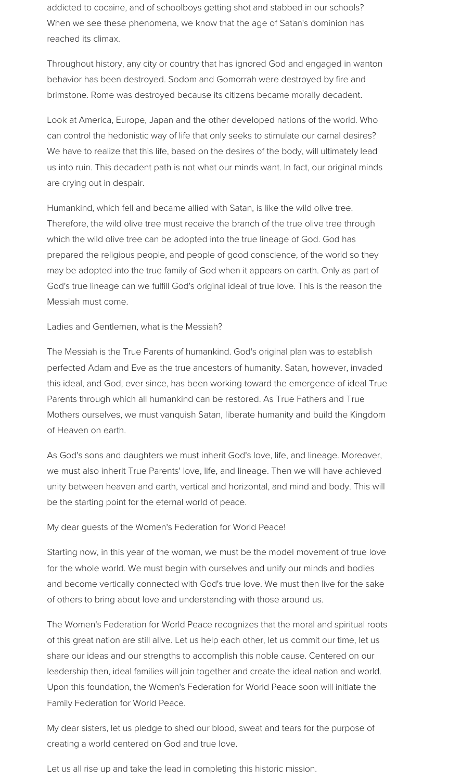addicted to cocaine, and of schoolboys getting shot and stabbed in our schools? When we see these phenomena, we know that the age of Satan's dominion has reached its climax.

Throughout history, any city or country that has ignored God and engaged in wanton behavior has been destroyed. Sodom and Gomorrah were destroyed by fire and brimstone. Rome was destroyed because its citizens became morally decadent.

Look at America, Europe, Japan and the other developed nations of the world. Who can control the hedonistic way of life that only seeks to stimulate our carnal desires? We have to realize that this life, based on the desires of the body, will ultimately lead us into ruin. This decadent path is not what our minds want. In fact, our original minds are crying out in despair.

Humankind, which fell and became allied with Satan, is like the wild olive tree. Therefore, the wild olive tree must receive the branch of the true olive tree through which the wild olive tree can be adopted into the true lineage of God. God has prepared the religious people, and people of good conscience, of the world so they may be adopted into the true family of God when it appears on earth. Only as part of God's true lineage can we fulfill God's original ideal of true love. This is the reason the Messiah must come.

Ladies and Gentlemen, what is the Messiah?

The Messiah is the True Parents of humankind. God's original plan was to establish perfected Adam and Eve as the true ancestors of humanity. Satan, however, invaded this ideal, and God, ever since, has been working toward the emergence of ideal True Parents through which all humankind can be restored. As True Fathers and True Mothers ourselves, we must vanquish Satan, liberate humanity and build the Kingdom of Heaven on earth.

As God's sons and daughters we must inherit God's love, life, and lineage. Moreover, we must also inherit True Parents' love, life, and lineage. Then we will have achieved unity between heaven and earth, vertical and horizontal, and mind and body. This will be the starting point for the eternal world of peace.

My dear guests of the Women's Federation for World Peace!

Starting now, in this year of the woman, we must be the model movement of true love for the whole world. We must begin with ourselves and unify our minds and bodies and become vertically connected with God's true love. We must then live for the sake of others to bring about love and understanding with those around us.

The Women's Federation for World Peace recognizes that the moral and spiritual roots of this great nation are still alive. Let us help each other, let us commit our time, let us share our ideas and our strengths to accomplish this noble cause. Centered on our leadership then, ideal families will join together and create the ideal nation and world. Upon this foundation, the Women's Federation for World Peace soon will initiate the Family Federation for World Peace.

My dear sisters, let us pledge to shed our blood, sweat and tears for the purpose of creating a world centered on God and true love.

Let us all rise up and take the lead in completing this historic mission.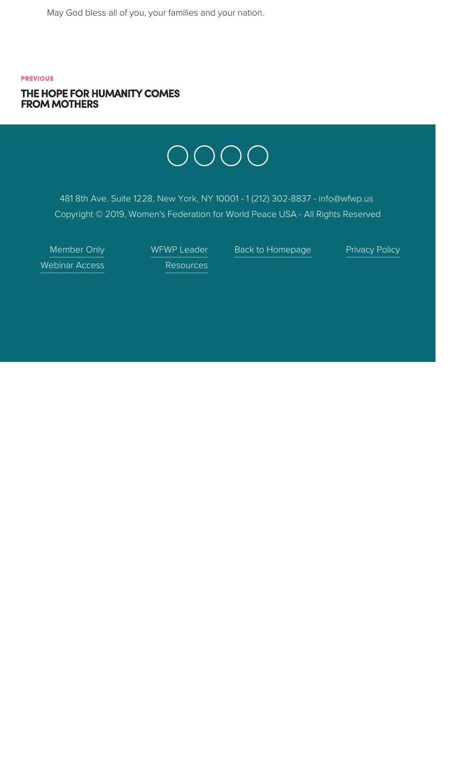May God bless all of you, your families and your nation.

#### **PREVIOUS** THE HOPE FOR HUMANITY COMES **FROM MOTHERS**



481 8th Ave. Suite 1228, New York, NY 10001 - 1 (212) 302-8837 - info@wfwp.us Copyright © 2019, Women's Federation for World Peace USA - All Rights Reserved

Member Only **Webinar Access**  WFWP Leader Resources

Back to Homepage

**Privacy Policy**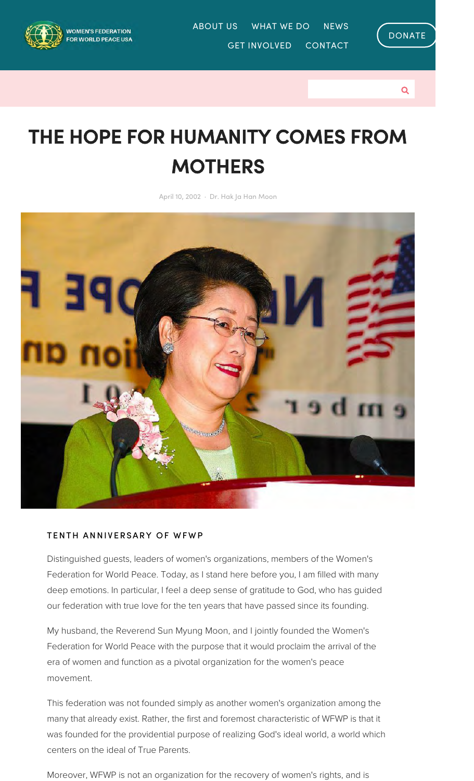

ABOUT US WHAT WE DO **NEWS GET INVOLVED CONTACT** 



Q

# THE HOPE FOR HUMANITY COMES FROM **MOTHERS**

April 10, 2002 · Dr. Hak Ja Han Moon



#### TENTH ANNIVERSARY OF WFWP

Distinguished guests, leaders of women's organizations, members of the Women's Federation for World Peace. Today, as I stand here before you, I am filled with many deep emotions. In particular, I feel a deep sense of gratitude to God, who has guided our federation with true love for the ten years that have passed since its founding.

My husband, the Reverend Sun Myung Moon, and I jointly founded the Women's Federation for World Peace with the purpose that it would proclaim the arrival of the era of women and function as a pivotal organization for the women's peace movement.

This federation was not founded simply as another women's organization among the many that already exist. Rather, the first and foremost characteristic of WFWP is that it was founded for the providential purpose of realizing God's ideal world, a world which centers on the ideal of True Parents.

Moreover, WFWP is not an organization for the recovery of women's rights, and is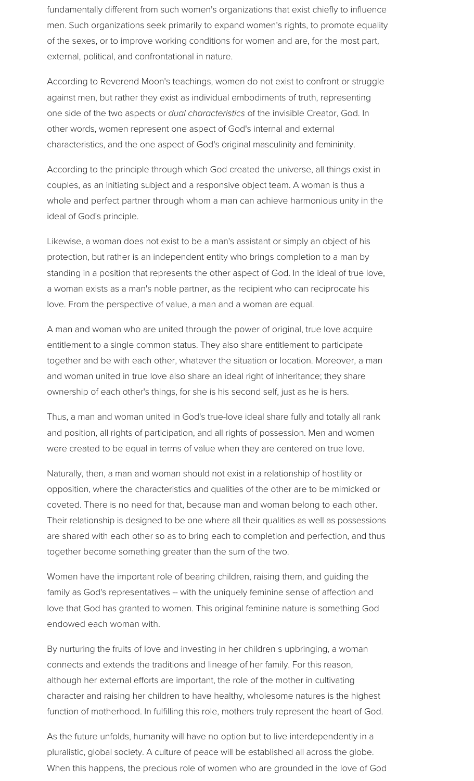fundamentally different from such women's organizations that exist chiefly to influence men. Such organizations seek primarily to expand women's rights, to promote equality of the sexes, or to improve working conditions for women and are, for the most part, external, political, and confrontational in nature.

According to Reverend Moon's teachings, women do not exist to confront or struggle against men, but rather they exist as individual embodiments of truth, representing one side of the two aspects or *dual characteristics* of the invisible Creator, God. In other words, women represent one aspect of God's internal and external characteristics, and the one aspect of God's original masculinity and femininity.

According to the principle through which God created the universe, all things exist in couples, as an initiating subject and a responsive object team. A woman is thus a whole and perfect partner through whom a man can achieve harmonious unity in the ideal of God's principle.

Likewise, a woman does not exist to be a man's assistant or simply an object of his protection, but rather is an independent entity who brings completion to a man by standing in a position that represents the other aspect of God. In the ideal of true love, a woman exists as a man's noble partner, as the recipient who can reciprocate his love. From the perspective of value, a man and a woman are equal.

A man and woman who are united through the power of original, true love acquire entitlement to a single common status. They also share entitlement to participate together and be with each other, whatever the situation or location. Moreover, a man and woman united in true love also share an ideal right of inheritance; they share ownership of each other's things, for she is his second self, just as he is hers.

Thus, a man and woman united in God's true-love ideal share fully and totally all rank and position, all rights of participation, and all rights of possession. Men and women were created to be equal in terms of value when they are centered on true love.

Naturally, then, a man and woman should not exist in a relationship of hostility or opposition, where the characteristics and qualities of the other are to be mimicked or coveted. There is no need for that, because man and woman belong to each other. Their relationship is designed to be one where all their qualities as well as possessions are shared with each other so as to bring each to completion and perfection, and thus together become something greater than the sum of the two.

Women have the important role of bearing children, raising them, and guiding the family as God's representatives -- with the uniquely feminine sense of affection and love that God has granted to women. This original feminine nature is something God endowed each woman with.

By nurturing the fruits of love and investing in her children s upbringing, a woman connects and extends the traditions and lineage of her family. For this reason, although her external efforts are important, the role of the mother in cultivating character and raising her children to have healthy, wholesome natures is the highest function of motherhood. In fulfilling this role, mothers truly represent the heart of God.

As the future unfolds, humanity will have no option but to live interdependently in a pluralistic, global society. A culture of peace will be established all across the globe. When this happens, the precious role of women who are grounded in the love of God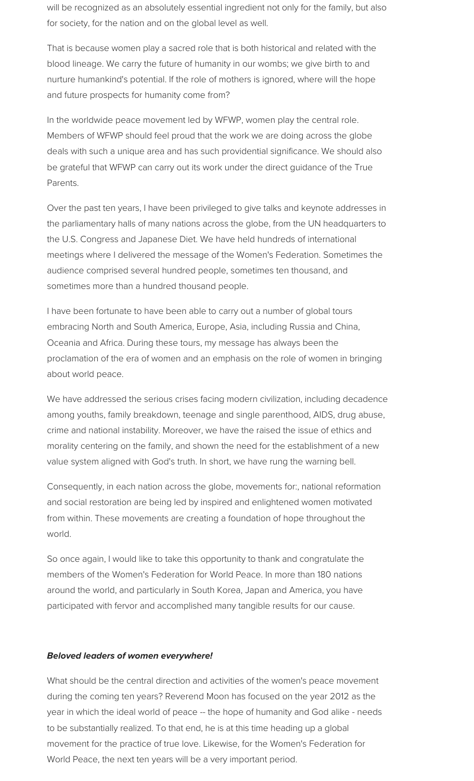will be recognized as an absolutely essential ingredient not only for the family, but also for society, for the nation and on the global level as well.

That is because women play a sacred role that is both historical and related with the blood lineage. We carry the future of humanity in our wombs; we give birth to and nurture humankind's potential. If the role of mothers is ignored, where will the hope and future prospects for humanity come from?

In the worldwide peace movement led by WFWP, women play the central role. Members of WFWP should feel proud that the work we are doing across the globe deals with such a unique area and has such providential significance. We should also be grateful that WFWP can carry out its work under the direct guidance of the True Parents.

Over the past ten years, I have been privileged to give talks and keynote addresses in the parliamentary halls of many nations across the globe, from the UN headquarters to the U.S. Congress and Japanese Diet. We have held hundreds of international meetings where I delivered the message of the Women's Federation. Sometimes the audience comprised several hundred people, sometimes ten thousand, and sometimes more than a hundred thousand people.

I have been fortunate to have been able to carry out a number of global tours embracing North and South America, Europe, Asia, including Russia and China, Oceania and Africa. During these tours, my message has always been the proclamation of the era of women and an emphasis on the role of women in bringing about world peace.

We have addressed the serious crises facing modern civilization, including decadence among youths, family breakdown, teenage and single parenthood, AIDS, drug abuse, crime and national instability. Moreover, we have the raised the issue of ethics and morality centering on the family, and shown the need for the establishment of a new value system aligned with God's truth. In short, we have rung the warning bell.

Consequently, in each nation across the globe, movements for:, national reformation and social restoration are being led by inspired and enlightened women motivated from within. These movements are creating a foundation of hope throughout the world.

So once again, I would like to take this opportunity to thank and congratulate the members of the Women's Federation for World Peace. In more than 180 nations around the world, and particularly in South Korea, Japan and America, you have participated with fervor and accomplished many tangible results for our cause.

#### **Beloved leaders of women everywhere!**

What should be the central direction and activities of the women's peace movement during the coming ten years? Reverend Moon has focused on the year 2012 as the year in which the ideal world of peace -- the hope of humanity and God alike - needs to be substantially realized. To that end, he is at this time heading up a global movement for the practice of true love. Likewise, for the Women's Federation for World Peace, the next ten years will be a very important period.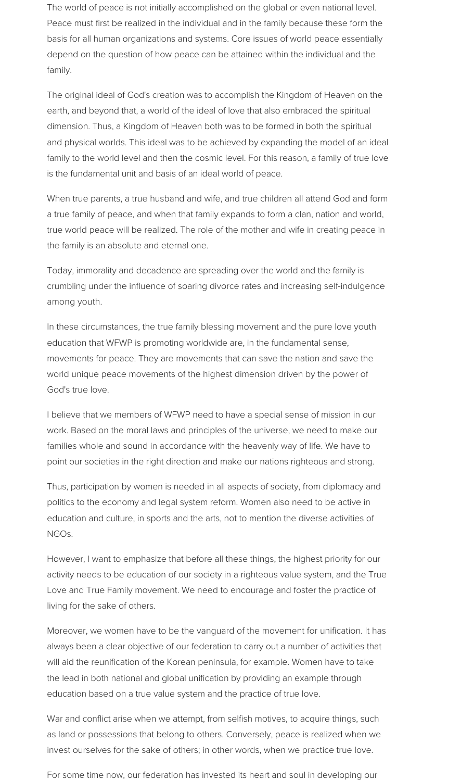The world of peace is not initially accomplished on the global or even national level. Peace must first be realized in the individual and in the family because these form the basis for all human organizations and systems. Core issues of world peace essentially depend on the question of how peace can be attained within the individual and the family.

The original ideal of God's creation was to accomplish the Kingdom of Heaven on the earth, and beyond that, a world of the ideal of love that also embraced the spiritual dimension. Thus, a Kingdom of Heaven both was to be formed in both the spiritual and physical worlds. This ideal was to be achieved by expanding the model of an ideal family to the world level and then the cosmic level. For this reason, a family of true love is the fundamental unit and basis of an ideal world of peace.

When true parents, a true husband and wife, and true children all attend God and form a true family of peace, and when that family expands to form a clan, nation and world, true world peace will be realized. The role of the mother and wife in creating peace in the family is an absolute and eternal one.

Today, immorality and decadence are spreading over the world and the family is crumbling under the influence of soaring divorce rates and increasing self-indulgence among youth.

In these circumstances, the true family blessing movement and the pure love youth education that WFWP is promoting worldwide are, in the fundamental sense, movements for peace. They are movements that can save the nation and save the world unique peace movements of the highest dimension driven by the power of God's true love.

I believe that we members of WFWP need to have a special sense of mission in our work. Based on the moral laws and principles of the universe, we need to make our families whole and sound in accordance with the heavenly way of life. We have to point our societies in the right direction and make our nations righteous and strong.

Thus, participation by women is needed in all aspects of society, from diplomacy and politics to the economy and legal system reform. Women also need to be active in education and culture, in sports and the arts, not to mention the diverse activities of NGO<sub>s.</sub>

However, I want to emphasize that before all these things, the highest priority for our activity needs to be education of our society in a righteous value system, and the True Love and True Family movement. We need to encourage and foster the practice of living for the sake of others.

Moreover, we women have to be the vanguard of the movement for unification. It has always been a clear objective of our federation to carry out a number of activities that will aid the reunification of the Korean peninsula, for example. Women have to take the lead in both national and global unification by providing an example through education based on a true value system and the practice of true love.

War and conflict arise when we attempt, from selfish motives, to acquire things, such as land or possessions that belong to others. Conversely, peace is realized when we invest ourselves for the sake of others; in other words, when we practice true love.

For some time now, our federation has invested its heart and soul in developing our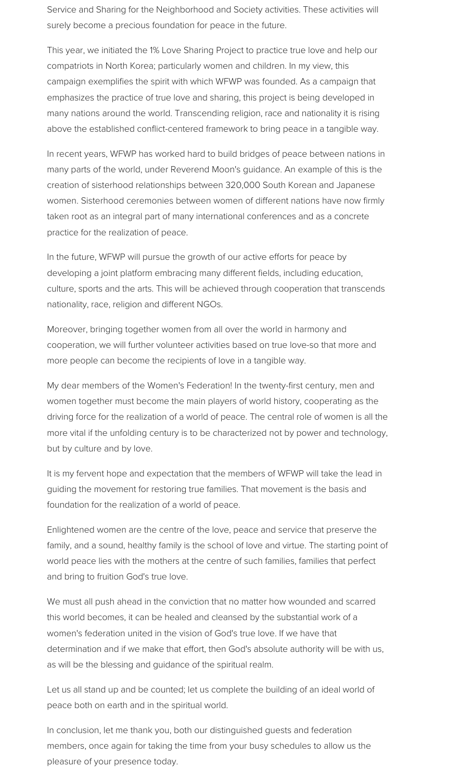Service and Sharing for the Neighborhood and Society activities. These activities will surely become a precious foundation for peace in the future.

This year, we initiated the 1% Love Sharing Project to practice true love and help our compatriots in North Korea; particularly women and children. In my view, this campaign exemplifies the spirit with which WFWP was founded. As a campaign that emphasizes the practice of true love and sharing, this project is being developed in many nations around the world. Transcending religion, race and nationality it is rising above the established conflict-centered framework to bring peace in a tangible way.

In recent years, WFWP has worked hard to build bridges of peace between nations in many parts of the world, under Reverend Moon's guidance. An example of this is the creation of sisterhood relationships between 320,000 South Korean and Japanese women. Sisterhood ceremonies between women of different nations have now firmly taken root as an integral part of many international conferences and as a concrete practice for the realization of peace.

In the future, WFWP will pursue the growth of our active efforts for peace by developing a joint platform embracing many different fields, including education, culture, sports and the arts. This will be achieved through cooperation that transcends nationality, race, religion and different NGOs.

Moreover, bringing together women from all over the world in harmony and cooperation, we will further volunteer activities based on true love-so that more and more people can become the recipients of love in a tangible way.

My dear members of the Women's Federation! In the twenty-first century, men and women together must become the main players of world history, cooperating as the driving force for the realization of a world of peace. The central role of women is all the more vital if the unfolding century is to be characterized not by power and technology, but by culture and by love.

It is my fervent hope and expectation that the members of WFWP will take the lead in quiding the movement for restoring true families. That movement is the basis and foundation for the realization of a world of peace.

Enlightened women are the centre of the love, peace and service that preserve the family, and a sound, healthy family is the school of love and virtue. The starting point of world peace lies with the mothers at the centre of such families, families that perfect and bring to fruition God's true love.

We must all push ahead in the conviction that no matter how wounded and scarred this world becomes, it can be healed and cleansed by the substantial work of a women's federation united in the vision of God's true love. If we have that determination and if we make that effort, then God's absolute authority will be with us, as will be the blessing and guidance of the spiritual realm.

Let us all stand up and be counted; let us complete the building of an ideal world of peace both on earth and in the spiritual world.

In conclusion, let me thank you, both our distinguished guests and federation members, once again for taking the time from your busy schedules to allow us the pleasure of your presence today.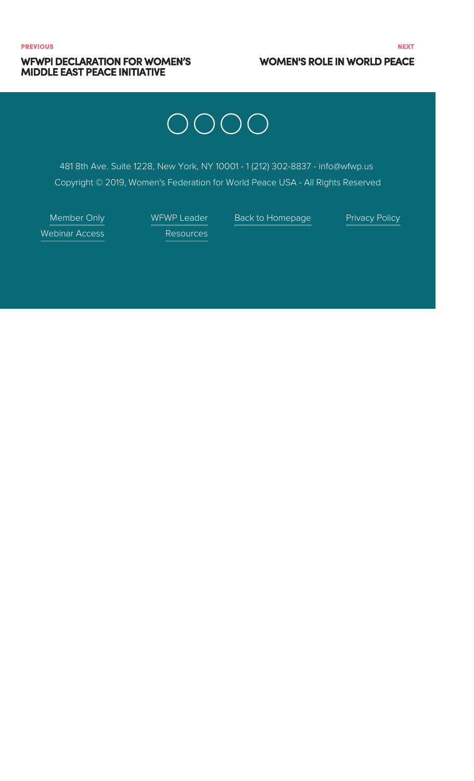#### **WFWPI DECLARATION FOR WOMEN'S MIDDLE EAST PEACE INITIATIVE**

#### **WOMEN'S ROLE IN WORLD PEACE**

# OOOO

481 8th Ave. Suite 1228, New York, NY 10001 - 1 (212) 302-8837 - info@wfwp.us Copyright © 2019, Women's Federation for World Peace USA - All Rights Reserved

Member Only **Webinar Access** 

WFWP Leader

Back to Homepage

**Privacy Policy** 

Resources

**NEXT**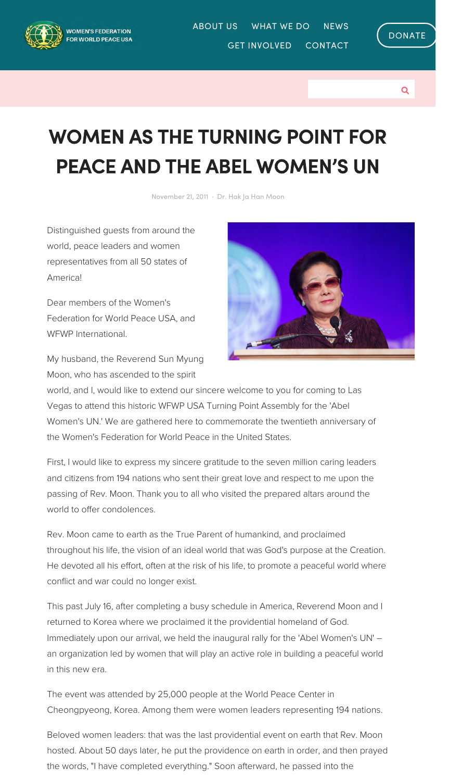

ABOUT US WHAT WE DO **NEWS GET INVOLVED CONTACT** 



Q

## **WOMEN AS THE TURNING POINT FOR PEACE AND THE ABEL WOMEN'S UN**

November 21, 2011 · Dr. Hak Ja Han Moon

Distinguished guests from around the world, peace leaders and women representatives from all 50 states of America!

Dear members of the Women's Federation for World Peace USA, and WFWP International.



My husband, the Reverend Sun Myung Moon, who has ascended to the spirit

world, and I, would like to extend our sincere welcome to you for coming to Las Vegas to attend this historic WFWP USA Turning Point Assembly for the 'Abel Women's UN.' We are gathered here to commemorate the twentieth anniversary of the Women's Federation for World Peace in the United States.

First, I would like to express my sincere gratitude to the seven million caring leaders and citizens from 194 nations who sent their great love and respect to me upon the passing of Rev. Moon. Thank you to all who visited the prepared altars around the world to offer condolences.

Rev. Moon came to earth as the True Parent of humankind, and proclaimed throughout his life, the vision of an ideal world that was God's purpose at the Creation. He devoted all his effort, often at the risk of his life, to promote a peaceful world where conflict and war could no longer exist.

This past July 16, after completing a busy schedule in America, Reverend Moon and I returned to Korea where we proclaimed it the providential homeland of God. Immediately upon our arrival, we held the inaugural rally for the 'Abel Women's UN' an organization led by women that will play an active role in building a peaceful world in this new era.

The event was attended by 25,000 people at the World Peace Center in Cheongpyeong, Korea. Among them were women leaders representing 194 nations.

Beloved women leaders: that was the last providential event on earth that Rev. Moon hosted. About 50 days later, he put the providence on earth in order, and then prayed the words, "I have completed everything." Soon afterward, he passed into the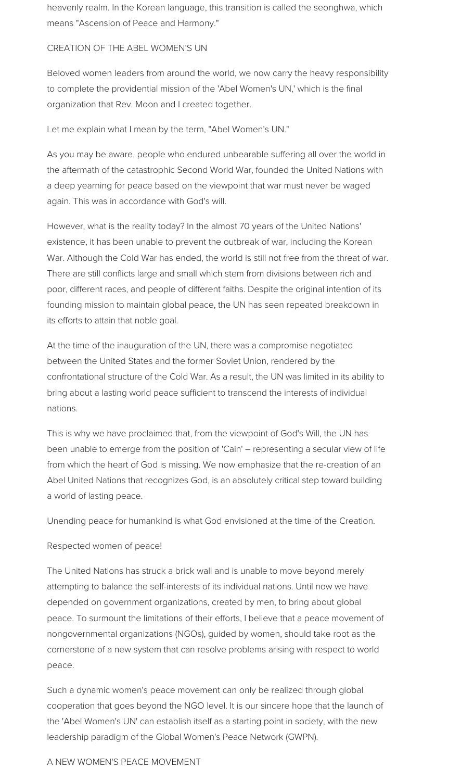heavenly realm. In the Korean language, this transition is called the seonghwa, which means "Ascension of Peace and Harmony."

#### CREATION OF THE ABEL WOMEN'S UN

Beloved women leaders from around the world, we now carry the heavy responsibility to complete the providential mission of the 'Abel Women's UN,' which is the final organization that Rev. Moon and I created together.

Let me explain what I mean by the term, "Abel Women's UN."

As you may be aware, people who endured unbearable suffering all over the world in the aftermath of the catastrophic Second World War, founded the United Nations with a deep yearning for peace based on the viewpoint that war must never be waged again. This was in accordance with God's will.

However, what is the reality today? In the almost 70 years of the United Nations' existence, it has been unable to prevent the outbreak of war, including the Korean War. Although the Cold War has ended, the world is still not free from the threat of war. There are still conflicts large and small which stem from divisions between rich and poor, different races, and people of different faiths. Despite the original intention of its founding mission to maintain global peace, the UN has seen repeated breakdown in its efforts to attain that noble goal.

At the time of the inauguration of the UN, there was a compromise negotiated between the United States and the former Soviet Union, rendered by the confrontational structure of the Cold War. As a result, the UN was limited in its ability to bring about a lasting world peace sufficient to transcend the interests of individual nation.

This is why we have proclaimed that, from the viewpoint of God's Will, the UN has been unable to emerge from the position of 'Cain' – representing a secular view of life from which the heart of God is missing. We now emphasize that the re-creation of an Abel United Nations that recognizes God, is an absolutely critical step toward building a world of lasting peace.

Unending peace for humankind is what God envisioned at the time of the Creation.

#### Respected women of peace!

The United Nations has struck a brick wall and is unable to move beyond merely attempting to balance the self-interests of its individual nations. Until now we have depended on government organizations, created by men, to bring about global peace. To surmount the limitations of their efforts, I believe that a peace movement of nongovernmental organizations (NGOs), guided by women, should take root as the cornerstone of a new system that can resolve problems arising with respect to world peace.

Such a dynamic women's peace movement can only be realized through global cooperation that goes beyond the NGO level. It is our sincere hope that the launch of the 'Abel Women's UN' can establish itself as a starting point in society, with the new leadership paradigm of the Global Women's Peace Network (GWPN).

#### A NEW WOMEN'S PEACE MOVEMENT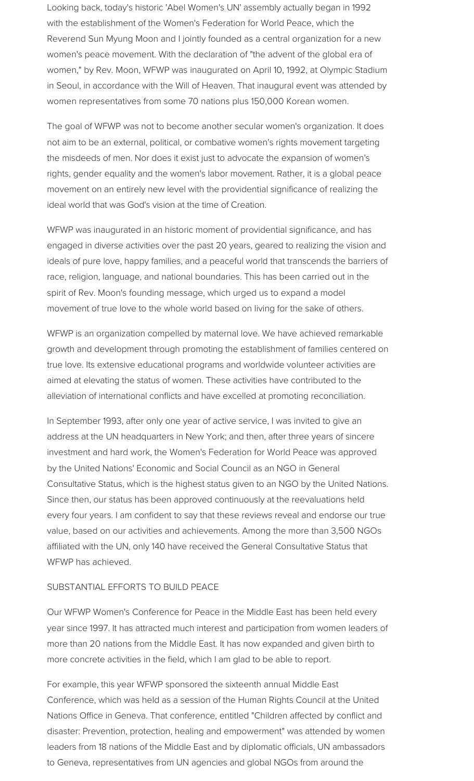Looking back, today's historic 'Abel Women's UN' assembly actually began in 1992 with the establishment of the Women's Federation for World Peace, which the Reverend Sun Myung Moon and I jointly founded as a central organization for a new women's peace movement. With the declaration of "the advent of the global era of women," by Rev. Moon, WFWP was inaugurated on April 10, 1992, at Olympic Stadium in Seoul, in accordance with the Will of Heaven. That inaugural event was attended by women representatives from some 70 nations plus 150,000 Korean women.

The goal of WFWP was not to become another secular women's organization. It does not aim to be an external, political, or combative women's rights movement targeting the misdeeds of men. Nor does it exist just to advocate the expansion of women's rights, gender equality and the women's labor movement. Rather, it is a global peace movement on an entirely new level with the providential significance of realizing the ideal world that was God's vision at the time of Creation.

WFWP was inaugurated in an historic moment of providential significance, and has engaged in diverse activities over the past 20 years, geared to realizing the vision and ideals of pure love, happy families, and a peaceful world that transcends the barriers of race, religion, language, and national boundaries. This has been carried out in the spirit of Rev. Moon's founding message, which urged us to expand a model movement of true love to the whole world based on living for the sake of others.

WFWP is an organization compelled by maternal love. We have achieved remarkable growth and development through promoting the establishment of families centered on true love. Its extensive educational programs and worldwide volunteer activities are aimed at elevating the status of women. These activities have contributed to the alleviation of international conflicts and have excelled at promoting reconciliation.

In September 1993, after only one year of active service, I was invited to give an address at the UN headquarters in New York; and then, after three years of sincere investment and hard work, the Women's Federation for World Peace was approved by the United Nations' Economic and Social Council as an NGO in General Consultative Status, which is the highest status given to an NGO by the United Nations. Since then, our status has been approved continuously at the reevaluations held every four years. I am confident to say that these reviews reveal and endorse our true value, based on our activities and achievements. Among the more than 3,500 NGOs affiliated with the UN, only 140 have received the General Consultative Status that WFWP has achieved.

#### SUBSTANTIAL EFFORTS TO BUILD PEACE

Our WFWP Women's Conference for Peace in the Middle East has been held every year since 1997. It has attracted much interest and participation from women leaders of more than 20 nations from the Middle East. It has now expanded and given birth to more concrete activities in the field, which I am glad to be able to report.

For example, this year WFWP sponsored the sixteenth annual Middle East Conference, which was held as a session of the Human Rights Council at the United Nations Office in Geneva. That conference, entitled "Children affected by conflict and disaster: Prevention, protection, healing and empowerment" was attended by women leaders from 18 nations of the Middle East and by diplomatic officials, UN ambassadors to Geneva, representatives from UN agencies and global NGOs from around the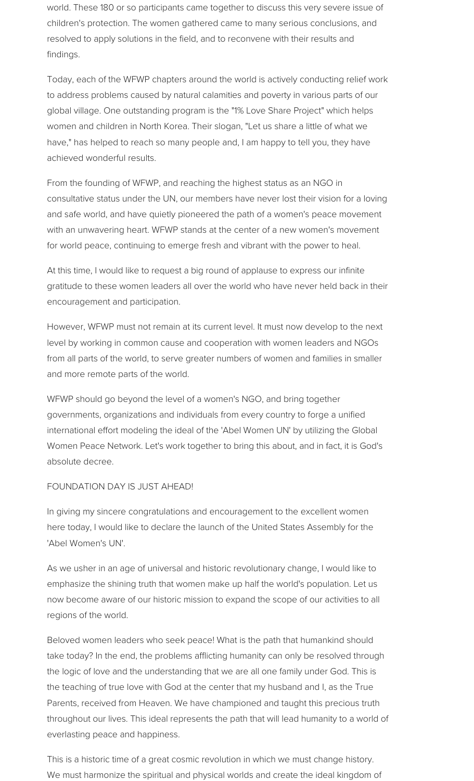world. These 180 or so participants came together to discuss this very severe issue of children's protection. The women gathered came to many serious conclusions, and resolved to apply solutions in the field, and to reconvene with their results and finding.

Today, each of the WFWP chapters around the world is actively conducting relief work to address problems caused by natural calamities and poverty in various parts of our global village. One outstanding program is the "1% Love Share Project" which helps women and children in North Korea. Their slogan, "Let us share a little of what we have," has helped to reach so many people and, I am happy to tell you, they have achieved wonderful results.

From the founding of WFWP, and reaching the highest status as an NGO in consultative status under the UN, our members have never lost their vision for a loving and safe world, and have quietly pioneered the path of a women's peace movement with an unwavering heart. WFWP stands at the center of a new women's movement for world peace, continuing to emerge fresh and vibrant with the power to heal.

At this time, I would like to request a big round of applause to express our infinite gratitude to these women leaders all over the world who have never held back in their encouragement and participation.

However, WFWP must not remain at its current level. It must now develop to the next level by working in common cause and cooperation with women leaders and NGOs from all parts of the world, to serve greater numbers of women and families in smaller and more remote parts of the world.

WFWP should go beyond the level of a women's NGO, and bring together governments, organizations and individuals from every country to forge a unified international effort modeling the ideal of the 'Abel Women UN' by utilizing the Global Women Peace Network. Let's work together to bring this about, and in fact, it is God's absolute decree.

#### FOUNDATION DAY IS JUST AHEAD!

In giving my sincere congratulations and encouragement to the excellent women here today, I would like to declare the launch of the United States Assembly for the 'Abel Women's UN'.

As we usher in an age of universal and historic revolutionary change, I would like to emphasize the shining truth that women make up half the world's population. Let us now become aware of our historic mission to expand the scope of our activities to all regions of the world.

Beloved women leaders who seek peace! What is the path that humankind should take today? In the end, the problems afflicting humanity can only be resolved through the logic of love and the understanding that we are all one family under God. This is the teaching of true love with God at the center that my husband and I, as the True Parents, received from Heaven. We have championed and taught this precious truth throughout our lives. This ideal represents the path that will lead humanity to a world of everlasting peace and happiness.

This is a historic time of a great cosmic revolution in which we must change history. We must harmonize the spiritual and physical worlds and create the ideal kingdom of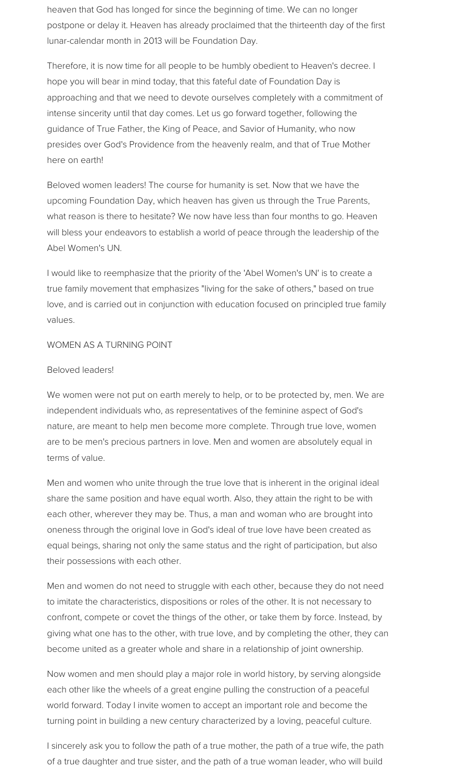heaven that God has longed for since the beginning of time. We can no longer postpone or delay it. Heaven has already proclaimed that the thirteenth day of the first lunar-calendar month in 2013 will be Foundation Day.

Therefore, it is now time for all people to be humbly obedient to Heaven's decree. I hope you will bear in mind today, that this fateful date of Foundation Day is approaching and that we need to devote ourselves completely with a commitment of intense sincerity until that day comes. Let us go forward together, following the guidance of True Father, the King of Peace, and Savior of Humanity, who now presides over God's Providence from the heavenly realm, and that of True Mother here on earth!

Beloved women leaders! The course for humanity is set. Now that we have the upcoming Foundation Day, which heaven has given us through the True Parents, what reason is there to hesitate? We now have less than four months to go. Heaven will bless your endeavors to establish a world of peace through the leadership of the Abel Women's UN.

I would like to reemphasize that the priority of the 'Abel Women's UN' is to create a true family movement that emphasizes "living for the sake of others," based on true love, and is carried out in conjunction with education focused on principled true family values.

#### WOMEN AS A TURNING POINT

#### Beloved leaders!

We women were not put on earth merely to help, or to be protected by, men. We are independent individuals who, as representatives of the feminine aspect of God's nature, are meant to help men become more complete. Through true love, women are to be men's precious partners in love. Men and women are absolutely equal in terms of value.

Men and women who unite through the true love that is inherent in the original ideal share the same position and have equal worth. Also, they attain the right to be with each other, wherever they may be. Thus, a man and woman who are brought into oneness through the original love in God's ideal of true love have been created as equal beings, sharing not only the same status and the right of participation, but also their possessions with each other.

Men and women do not need to struggle with each other, because they do not need to imitate the characteristics, dispositions or roles of the other. It is not necessary to confront, compete or covet the things of the other, or take them by force. Instead, by giving what one has to the other, with true love, and by completing the other, they can become united as a greater whole and share in a relationship of joint ownership.

Now women and men should play a major role in world history, by serving alongside each other like the wheels of a great engine pulling the construction of a peaceful world forward. Today I invite women to accept an important role and become the turning point in building a new century characterized by a loving, peaceful culture.

I sincerely ask you to follow the path of a true mother, the path of a true wife, the path of a true daughter and true sister, and the path of a true woman leader, who will build